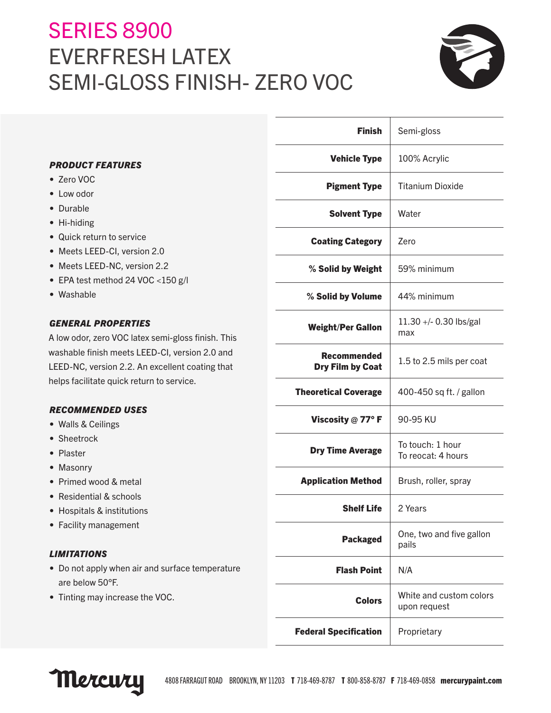# SERIES 8900 EVERFRESH LATEX SEMI-GLOSS FINISH- ZERO VOC



|                                                                                                      | <b>Finish</b>                                 | Semi-gloss                              |
|------------------------------------------------------------------------------------------------------|-----------------------------------------------|-----------------------------------------|
| <b>PRODUCT FEATURES</b>                                                                              | <b>Vehicle Type</b>                           | 100% Acrylic                            |
| • Zero VOC                                                                                           | <b>Pigment Type</b>                           | <b>Titanium Dioxide</b>                 |
| • Low odor                                                                                           |                                               |                                         |
| • Durable                                                                                            | <b>Solvent Type</b>                           | Water                                   |
| • Hi-hiding                                                                                          |                                               |                                         |
| • Quick return to service                                                                            | <b>Coating Category</b>                       | Zero                                    |
| • Meets LEED-CI, version 2.0                                                                         |                                               |                                         |
| • Meets LEED-NC, version 2.2                                                                         | % Solid by Weight                             | 59% minimum                             |
| • EPA test method 24 VOC <150 g/l                                                                    |                                               |                                         |
| • Washable                                                                                           | % Solid by Volume                             | 44% minimum                             |
| <b>GENERAL PROPERTIES</b>                                                                            | <b>Weight/Per Gallon</b>                      | $11.30 + - 0.30$ lbs/gal<br>max         |
| A low odor, zero VOC latex semi-gloss finish. This<br>washable finish meets LEED-CI, version 2.0 and |                                               |                                         |
| LEED-NC, version 2.2. An excellent coating that                                                      | <b>Recommended</b><br><b>Dry Film by Coat</b> | 1.5 to 2.5 mils per coat                |
| helps facilitate quick return to service.                                                            |                                               |                                         |
|                                                                                                      | <b>Theoretical Coverage</b>                   | 400-450 sq ft. / gallon                 |
| <b>RECOMMENDED USES</b>                                                                              |                                               |                                         |
| • Walls & Ceilings                                                                                   | Viscosity $@$ 77° F                           | 90-95 KU                                |
| • Sheetrock                                                                                          |                                               | To touch: 1 hour                        |
| • Plaster                                                                                            | <b>Dry Time Average</b>                       | To reocat: 4 hours                      |
| • Masonry                                                                                            |                                               |                                         |
| • Primed wood & metal                                                                                | <b>Application Method</b>                     | Brush, roller, spray                    |
| • Residential & schools                                                                              |                                               |                                         |
| • Hospitals & institutions                                                                           | <b>Shelf Life</b>                             | 2 Years                                 |
| • Facility management                                                                                | <b>Packaged</b>                               | One, two and five gallon<br>pails       |
| <b>LIMITATIONS</b>                                                                                   |                                               |                                         |
| • Do not apply when air and surface temperature<br>are below 50°F.                                   | <b>Flash Point</b>                            | N/A                                     |
| • Tinting may increase the VOC.                                                                      | <b>Colors</b>                                 | White and custom colors<br>upon request |
|                                                                                                      | <b>Federal Specification</b>                  | Proprietary                             |